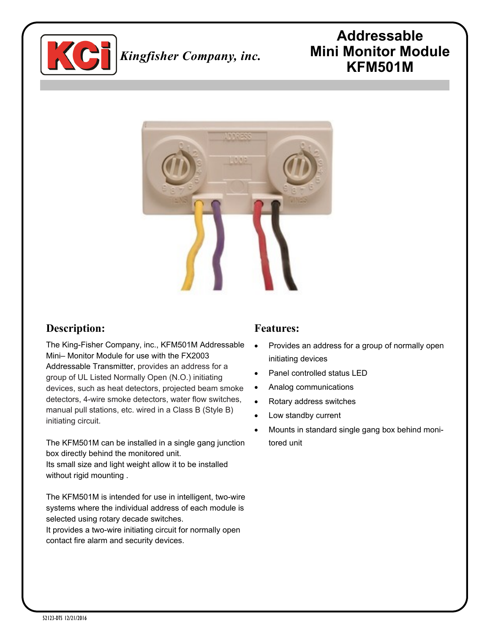

# *Kingfisher Company, inc.*

# **Addressable Mini Monitor Module KFM501M**



## **Description:**

The King-Fisher Company, inc., KFM501M Addressable Mini– Monitor Module for use with the FX2003 Addressable Transmitter, provides an address for a group of UL Listed Normally Open (N.O.) initiating devices, such as heat detectors, projected beam smoke detectors, 4-wire smoke detectors, water flow switches, manual pull stations, etc. wired in a Class B (Style B) initiating circuit.

The KFM501M can be installed in a single gang junction box directly behind the monitored unit.

Its small size and light weight allow it to be installed without rigid mounting .

The KFM501M is intended for use in intelligent, two-wire systems where the individual address of each module is selected using rotary decade switches.

It provides a two-wire initiating circuit for normally open contact fire alarm and security devices.

#### **Features:**

- Provides an address for a group of normally open initiating devices
- Panel controlled status LED
- Analog communications
- Rotary address switches
- Low standby current
- Mounts in standard single gang box behind monitored unit